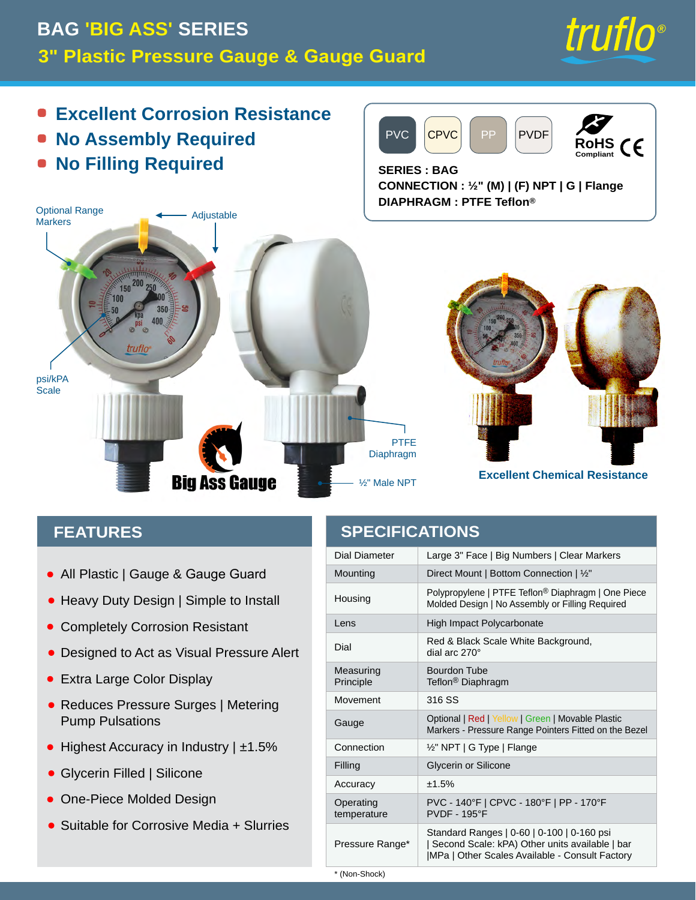#### Manomètre et protecteur de manomètre en plastique de 3". Truflo **Excellente résistance à la corrosion PVDF** CPVC **PVC** • Aucun assemblage requis **RoHS**  $\epsilon$ Compliant **.** Aucun remplissage requis **SERIES: BAG** CONNECTION : 1/2" (M) | (F) NPT | G | Bride **DIAPHRAGM: PTFE Teflon®**



### **CARACTÉRISTIQUES**

- Tout en plastique | Indicateur et protecteur de auge
- Conception robuste | Simple à installer
- Entièrement résistant à la corrosion
- Con u pour agir comme alerte isuelle de pression
- **Très grand écran couleur**
- Réduit les surtensionsMetering Pump **Pulsations**
- $3 \cup X$  V JUDQGH | S  $±1.5%$
- 5 H P S O L V V D J H  $G$   $\vdash$
- P R X O p  $0 R G q O H$ & R Q Y L H Q W SRXU
	- 6 O X U U L H V

### **SPÉCIFICATIONS**

|   |                     | 'LDPqWU*HUDGQXGFYDLGVUDDI@I<br>Ò                                                                                   |         |
|---|---------------------|--------------------------------------------------------------------------------------------------------------------|---------|
|   |                     | ORQWDJHORQWDJH GLUHF XA/                                                                                           | F R     |
|   |                     | Polypropylene   PTFE Teflon® Diaphragm H   & R Q F H S<br>% R v W L H G ¶ X Q H V H X O H S L q F H                |         |
|   |                     | 2 E M H F W L3 IR O \ F D U E R Q D W H                                                                            | P S     |
|   |                     | e F K H O O H U R X J H H W<br>& D G U D Q G H F D G U D Q                                                         | Q R     |
|   |                     | 3 U L Q F L Steflon® Dlaphragm H H V <sup>E</sup> X <sup>R</sup> U H G R Q                                         |         |
|   | Mo Xvement          | 316 SS                                                                                                             |         |
|   | - D X J H           | ) D F X O W D DW XL9Q HH6U BRV   MJ BY   H X   U V<br>PRELOHV 3RLQWHXUV                                            |         |
| l |                     | & R Q Q H [ 1½"RNPT G Type   % U L G H                                                                             | G X     |
|   |                     | 5 H P S O L Colycenton of Shiltcone                                                                                |         |
|   | 3 U p F L V L±1R5%Q |                                                                                                                    | E.<br>B |
|   |                     | PVC - 140°F   CPVC - 180°F   PP - 170°F<br><b>PVDF - 195°F</b><br>V                                                |         |
|   | $*$ D P P H         | * D P P H V V W D Q G D U G<br>G нейя́ Hrva ∿ Гн <sup>и</sup> Фькноон<br>$E D U$ _ 0 3 D _ \$ X W U H V<br>OTXVLQH | Ε       |
|   | $*(6DQ)V 8KRF$      |                                                                                                                    |         |